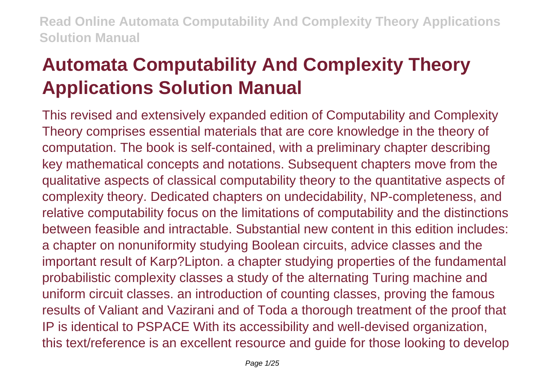# **Automata Computability And Complexity Theory Applications Solution Manual**

This revised and extensively expanded edition of Computability and Complexity Theory comprises essential materials that are core knowledge in the theory of computation. The book is self-contained, with a preliminary chapter describing key mathematical concepts and notations. Subsequent chapters move from the qualitative aspects of classical computability theory to the quantitative aspects of complexity theory. Dedicated chapters on undecidability, NP-completeness, and relative computability focus on the limitations of computability and the distinctions between feasible and intractable. Substantial new content in this edition includes: a chapter on nonuniformity studying Boolean circuits, advice classes and the important result of Karp?Lipton. a chapter studying properties of the fundamental probabilistic complexity classes a study of the alternating Turing machine and uniform circuit classes. an introduction of counting classes, proving the famous results of Valiant and Vazirani and of Toda a thorough treatment of the proof that IP is identical to PSPACE With its accessibility and well-devised organization, this text/reference is an excellent resource and guide for those looking to develop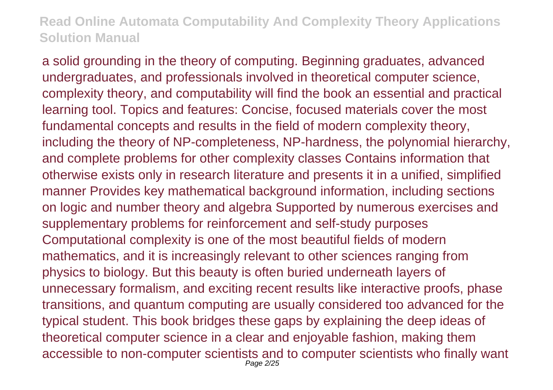a solid grounding in the theory of computing. Beginning graduates, advanced undergraduates, and professionals involved in theoretical computer science, complexity theory, and computability will find the book an essential and practical learning tool. Topics and features: Concise, focused materials cover the most fundamental concepts and results in the field of modern complexity theory, including the theory of NP-completeness, NP-hardness, the polynomial hierarchy, and complete problems for other complexity classes Contains information that otherwise exists only in research literature and presents it in a unified, simplified manner Provides key mathematical background information, including sections on logic and number theory and algebra Supported by numerous exercises and supplementary problems for reinforcement and self-study purposes Computational complexity is one of the most beautiful fields of modern mathematics, and it is increasingly relevant to other sciences ranging from physics to biology. But this beauty is often buried underneath layers of unnecessary formalism, and exciting recent results like interactive proofs, phase transitions, and quantum computing are usually considered too advanced for the typical student. This book bridges these gaps by explaining the deep ideas of theoretical computer science in a clear and enjoyable fashion, making them accessible to non-computer scientists and to computer scientists who finally want Page 2/25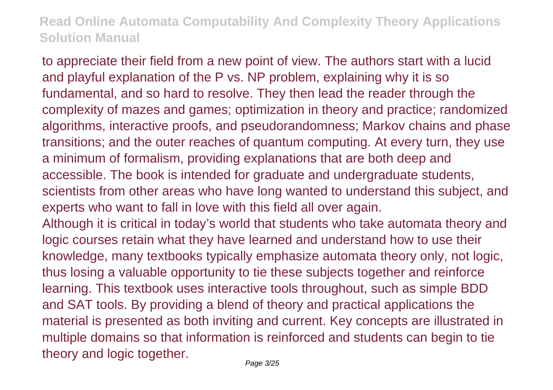to appreciate their field from a new point of view. The authors start with a lucid and playful explanation of the P vs. NP problem, explaining why it is so fundamental, and so hard to resolve. They then lead the reader through the complexity of mazes and games; optimization in theory and practice; randomized algorithms, interactive proofs, and pseudorandomness; Markov chains and phase transitions; and the outer reaches of quantum computing. At every turn, they use a minimum of formalism, providing explanations that are both deep and accessible. The book is intended for graduate and undergraduate students, scientists from other areas who have long wanted to understand this subject, and experts who want to fall in love with this field all over again. Although it is critical in today's world that students who take automata theory and logic courses retain what they have learned and understand how to use their knowledge, many textbooks typically emphasize automata theory only, not logic, thus losing a valuable opportunity to tie these subjects together and reinforce learning. This textbook uses interactive tools throughout, such as simple BDD and SAT tools. By providing a blend of theory and practical applications the material is presented as both inviting and current. Key concepts are illustrated in multiple domains so that information is reinforced and students can begin to tie

theory and logic together. Page 3/25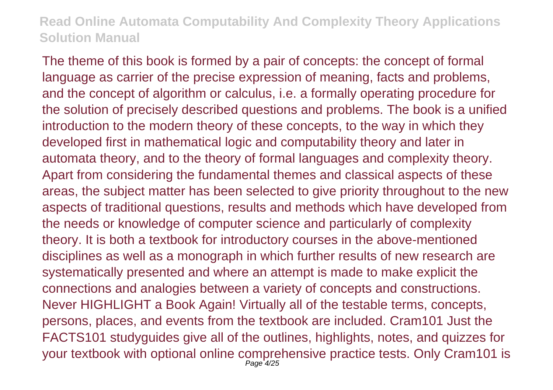The theme of this book is formed by a pair of concepts: the concept of formal language as carrier of the precise expression of meaning, facts and problems, and the concept of algorithm or calculus, i.e. a formally operating procedure for the solution of precisely described questions and problems. The book is a unified introduction to the modern theory of these concepts, to the way in which they developed first in mathematical logic and computability theory and later in automata theory, and to the theory of formal languages and complexity theory. Apart from considering the fundamental themes and classical aspects of these areas, the subject matter has been selected to give priority throughout to the new aspects of traditional questions, results and methods which have developed from the needs or knowledge of computer science and particularly of complexity theory. It is both a textbook for introductory courses in the above-mentioned disciplines as well as a monograph in which further results of new research are systematically presented and where an attempt is made to make explicit the connections and analogies between a variety of concepts and constructions. Never HIGHLIGHT a Book Again! Virtually all of the testable terms, concepts, persons, places, and events from the textbook are included. Cram101 Just the FACTS101 studyguides give all of the outlines, highlights, notes, and quizzes for your textbook with optional online comprehensive practice tests. Only Cram101 is Page 4/25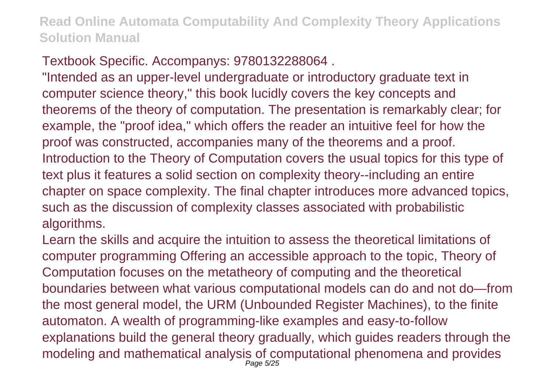# Textbook Specific. Accompanys: 9780132288064 .

"Intended as an upper-level undergraduate or introductory graduate text in computer science theory," this book lucidly covers the key concepts and theorems of the theory of computation. The presentation is remarkably clear; for example, the "proof idea," which offers the reader an intuitive feel for how the proof was constructed, accompanies many of the theorems and a proof. Introduction to the Theory of Computation covers the usual topics for this type of text plus it features a solid section on complexity theory--including an entire chapter on space complexity. The final chapter introduces more advanced topics, such as the discussion of complexity classes associated with probabilistic algorithms.

Learn the skills and acquire the intuition to assess the theoretical limitations of computer programming Offering an accessible approach to the topic, Theory of Computation focuses on the metatheory of computing and the theoretical boundaries between what various computational models can do and not do—from the most general model, the URM (Unbounded Register Machines), to the finite automaton. A wealth of programming-like examples and easy-to-follow explanations build the general theory gradually, which guides readers through the modeling and mathematical analysis of computational phenomena and provides Page 5/25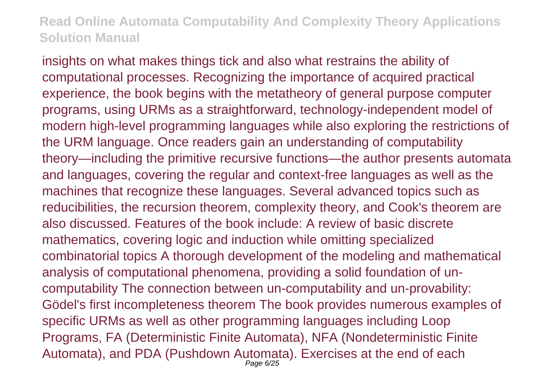insights on what makes things tick and also what restrains the ability of computational processes. Recognizing the importance of acquired practical experience, the book begins with the metatheory of general purpose computer programs, using URMs as a straightforward, technology-independent model of modern high-level programming languages while also exploring the restrictions of the URM language. Once readers gain an understanding of computability theory—including the primitive recursive functions—the author presents automata and languages, covering the regular and context-free languages as well as the machines that recognize these languages. Several advanced topics such as reducibilities, the recursion theorem, complexity theory, and Cook's theorem are also discussed. Features of the book include: A review of basic discrete mathematics, covering logic and induction while omitting specialized combinatorial topics A thorough development of the modeling and mathematical analysis of computational phenomena, providing a solid foundation of uncomputability The connection between un-computability and un-provability: Gödel's first incompleteness theorem The book provides numerous examples of specific URMs as well as other programming languages including Loop Programs, FA (Deterministic Finite Automata), NFA (Nondeterministic Finite Automata), and PDA (Pushdown Automata). Exercises at the end of each Page 6/25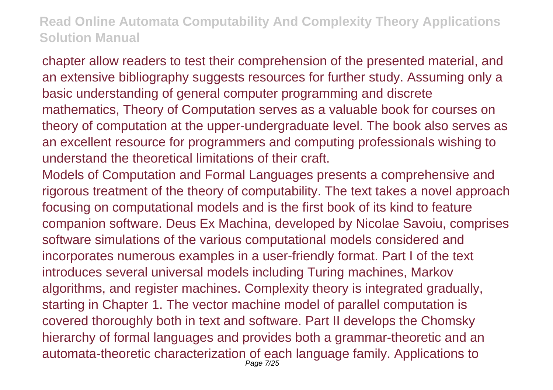chapter allow readers to test their comprehension of the presented material, and an extensive bibliography suggests resources for further study. Assuming only a basic understanding of general computer programming and discrete mathematics, Theory of Computation serves as a valuable book for courses on theory of computation at the upper-undergraduate level. The book also serves as an excellent resource for programmers and computing professionals wishing to understand the theoretical limitations of their craft.

Models of Computation and Formal Languages presents a comprehensive and rigorous treatment of the theory of computability. The text takes a novel approach focusing on computational models and is the first book of its kind to feature companion software. Deus Ex Machina, developed by Nicolae Savoiu, comprises software simulations of the various computational models considered and incorporates numerous examples in a user-friendly format. Part I of the text introduces several universal models including Turing machines, Markov algorithms, and register machines. Complexity theory is integrated gradually, starting in Chapter 1. The vector machine model of parallel computation is covered thoroughly both in text and software. Part II develops the Chomsky hierarchy of formal languages and provides both a grammar-theoretic and an automata-theoretic characterization of each language family. Applications to Page 7/25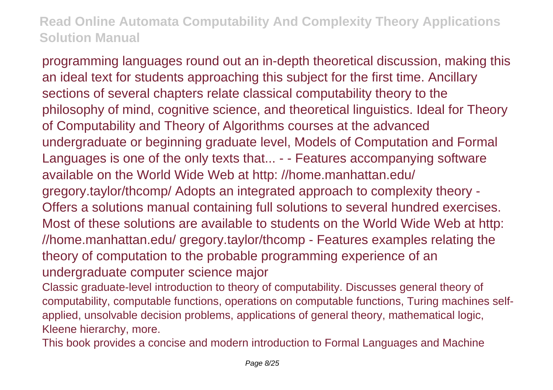programming languages round out an in-depth theoretical discussion, making this an ideal text for students approaching this subject for the first time. Ancillary sections of several chapters relate classical computability theory to the philosophy of mind, cognitive science, and theoretical linguistics. Ideal for Theory of Computability and Theory of Algorithms courses at the advanced undergraduate or beginning graduate level, Models of Computation and Formal Languages is one of the only texts that... - - Features accompanying software available on the World Wide Web at http: //home.manhattan.edu/ gregory.taylor/thcomp/ Adopts an integrated approach to complexity theory - Offers a solutions manual containing full solutions to several hundred exercises. Most of these solutions are available to students on the World Wide Web at http: //home.manhattan.edu/ gregory.taylor/thcomp - Features examples relating the theory of computation to the probable programming experience of an undergraduate computer science major

Classic graduate-level introduction to theory of computability. Discusses general theory of computability, computable functions, operations on computable functions, Turing machines selfapplied, unsolvable decision problems, applications of general theory, mathematical logic, Kleene hierarchy, more.

This book provides a concise and modern introduction to Formal Languages and Machine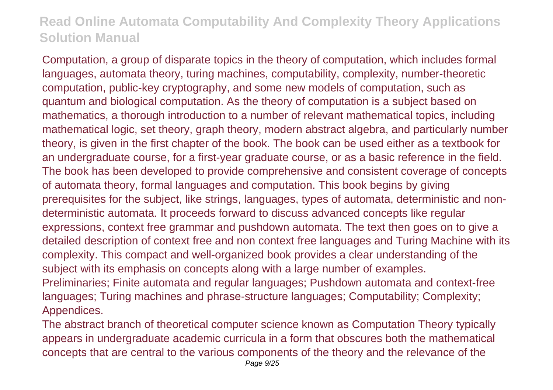Computation, a group of disparate topics in the theory of computation, which includes formal languages, automata theory, turing machines, computability, complexity, number-theoretic computation, public-key cryptography, and some new models of computation, such as quantum and biological computation. As the theory of computation is a subject based on mathematics, a thorough introduction to a number of relevant mathematical topics, including mathematical logic, set theory, graph theory, modern abstract algebra, and particularly number theory, is given in the first chapter of the book. The book can be used either as a textbook for an undergraduate course, for a first-year graduate course, or as a basic reference in the field. The book has been developed to provide comprehensive and consistent coverage of concepts of automata theory, formal languages and computation. This book begins by giving prerequisites for the subject, like strings, languages, types of automata, deterministic and nondeterministic automata. It proceeds forward to discuss advanced concepts like regular expressions, context free grammar and pushdown automata. The text then goes on to give a detailed description of context free and non context free languages and Turing Machine with its complexity. This compact and well-organized book provides a clear understanding of the subject with its emphasis on concepts along with a large number of examples. Preliminaries; Finite automata and regular languages; Pushdown automata and context-free languages; Turing machines and phrase-structure languages; Computability; Complexity; Appendices.

The abstract branch of theoretical computer science known as Computation Theory typically appears in undergraduate academic curricula in a form that obscures both the mathematical concepts that are central to the various components of the theory and the relevance of the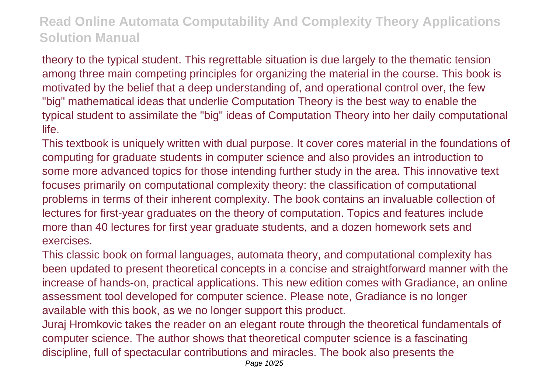theory to the typical student. This regrettable situation is due largely to the thematic tension among three main competing principles for organizing the material in the course. This book is motivated by the belief that a deep understanding of, and operational control over, the few "big" mathematical ideas that underlie Computation Theory is the best way to enable the typical student to assimilate the "big" ideas of Computation Theory into her daily computational life.

This textbook is uniquely written with dual purpose. It cover cores material in the foundations of computing for graduate students in computer science and also provides an introduction to some more advanced topics for those intending further study in the area. This innovative text focuses primarily on computational complexity theory: the classification of computational problems in terms of their inherent complexity. The book contains an invaluable collection of lectures for first-year graduates on the theory of computation. Topics and features include more than 40 lectures for first year graduate students, and a dozen homework sets and exercises.

This classic book on formal languages, automata theory, and computational complexity has been updated to present theoretical concepts in a concise and straightforward manner with the increase of hands-on, practical applications. This new edition comes with Gradiance, an online assessment tool developed for computer science. Please note, Gradiance is no longer available with this book, as we no longer support this product.

Juraj Hromkovic takes the reader on an elegant route through the theoretical fundamentals of computer science. The author shows that theoretical computer science is a fascinating discipline, full of spectacular contributions and miracles. The book also presents the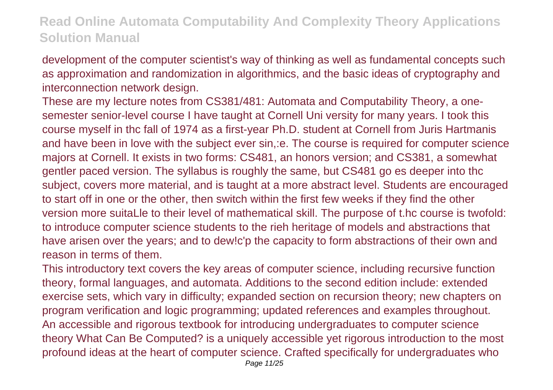development of the computer scientist's way of thinking as well as fundamental concepts such as approximation and randomization in algorithmics, and the basic ideas of cryptography and interconnection network design.

These are my lecture notes from CS381/481: Automata and Computability Theory, a onesemester senior-level course I have taught at Cornell Uni versity for many years. I took this course myself in thc fall of 1974 as a first-year Ph.D. student at Cornell from Juris Hartmanis and have been in love with the subject ever sin,:e. The course is required for computer science majors at Cornell. It exists in two forms: CS481, an honors version; and CS381, a somewhat gentler paced version. The syllabus is roughly the same, but CS481 go es deeper into thc subject, covers more material, and is taught at a more abstract level. Students are encouraged to start off in one or the other, then switch within the first few weeks if they find the other version more suitaLle to their level of mathematical skill. The purpose of t.hc course is twofold: to introduce computer science students to the rieh heritage of models and abstractions that have arisen over the years; and to dew!c'p the capacity to form abstractions of their own and reason in terms of them.

This introductory text covers the key areas of computer science, including recursive function theory, formal languages, and automata. Additions to the second edition include: extended exercise sets, which vary in difficulty; expanded section on recursion theory; new chapters on program verification and logic programming; updated references and examples throughout. An accessible and rigorous textbook for introducing undergraduates to computer science theory What Can Be Computed? is a uniquely accessible yet rigorous introduction to the most profound ideas at the heart of computer science. Crafted specifically for undergraduates who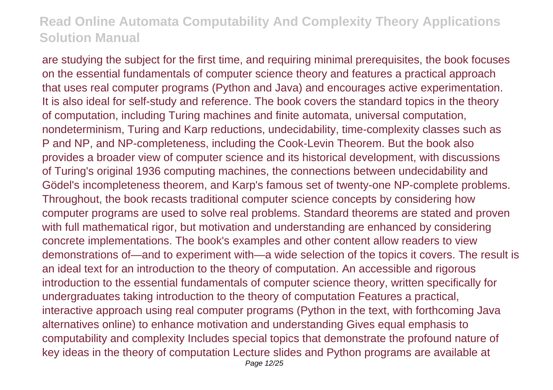are studying the subject for the first time, and requiring minimal prerequisites, the book focuses on the essential fundamentals of computer science theory and features a practical approach that uses real computer programs (Python and Java) and encourages active experimentation. It is also ideal for self-study and reference. The book covers the standard topics in the theory of computation, including Turing machines and finite automata, universal computation, nondeterminism, Turing and Karp reductions, undecidability, time-complexity classes such as P and NP, and NP-completeness, including the Cook-Levin Theorem. But the book also provides a broader view of computer science and its historical development, with discussions of Turing's original 1936 computing machines, the connections between undecidability and Gödel's incompleteness theorem, and Karp's famous set of twenty-one NP-complete problems. Throughout, the book recasts traditional computer science concepts by considering how computer programs are used to solve real problems. Standard theorems are stated and proven with full mathematical rigor, but motivation and understanding are enhanced by considering concrete implementations. The book's examples and other content allow readers to view demonstrations of—and to experiment with—a wide selection of the topics it covers. The result is an ideal text for an introduction to the theory of computation. An accessible and rigorous introduction to the essential fundamentals of computer science theory, written specifically for undergraduates taking introduction to the theory of computation Features a practical, interactive approach using real computer programs (Python in the text, with forthcoming Java alternatives online) to enhance motivation and understanding Gives equal emphasis to computability and complexity Includes special topics that demonstrate the profound nature of key ideas in the theory of computation Lecture slides and Python programs are available at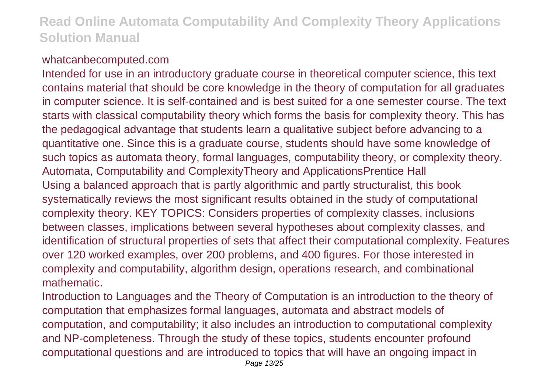#### whatcanbecomputed.com

Intended for use in an introductory graduate course in theoretical computer science, this text contains material that should be core knowledge in the theory of computation for all graduates in computer science. It is self-contained and is best suited for a one semester course. The text starts with classical computability theory which forms the basis for complexity theory. This has the pedagogical advantage that students learn a qualitative subject before advancing to a quantitative one. Since this is a graduate course, students should have some knowledge of such topics as automata theory, formal languages, computability theory, or complexity theory. Automata, Computability and ComplexityTheory and ApplicationsPrentice Hall Using a balanced approach that is partly algorithmic and partly structuralist, this book systematically reviews the most significant results obtained in the study of computational complexity theory. KEY TOPICS: Considers properties of complexity classes, inclusions between classes, implications between several hypotheses about complexity classes, and identification of structural properties of sets that affect their computational complexity. Features over 120 worked examples, over 200 problems, and 400 figures. For those interested in complexity and computability, algorithm design, operations research, and combinational mathematic.

Introduction to Languages and the Theory of Computation is an introduction to the theory of computation that emphasizes formal languages, automata and abstract models of computation, and computability; it also includes an introduction to computational complexity and NP-completeness. Through the study of these topics, students encounter profound computational questions and are introduced to topics that will have an ongoing impact in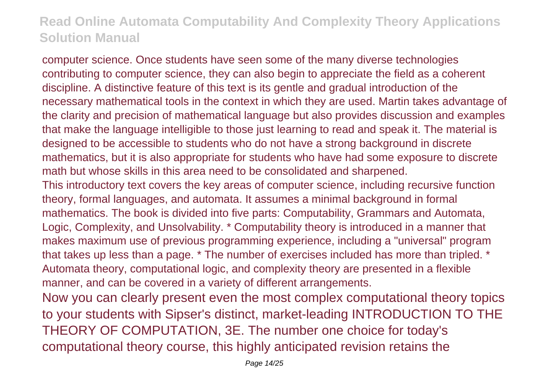computer science. Once students have seen some of the many diverse technologies contributing to computer science, they can also begin to appreciate the field as a coherent discipline. A distinctive feature of this text is its gentle and gradual introduction of the necessary mathematical tools in the context in which they are used. Martin takes advantage of the clarity and precision of mathematical language but also provides discussion and examples that make the language intelligible to those just learning to read and speak it. The material is designed to be accessible to students who do not have a strong background in discrete mathematics, but it is also appropriate for students who have had some exposure to discrete math but whose skills in this area need to be consolidated and sharpened.

This introductory text covers the key areas of computer science, including recursive function theory, formal languages, and automata. It assumes a minimal background in formal mathematics. The book is divided into five parts: Computability, Grammars and Automata, Logic, Complexity, and Unsolvability. \* Computability theory is introduced in a manner that makes maximum use of previous programming experience, including a "universal" program that takes up less than a page. \* The number of exercises included has more than tripled. \* Automata theory, computational logic, and complexity theory are presented in a flexible manner, and can be covered in a variety of different arrangements.

Now you can clearly present even the most complex computational theory topics to your students with Sipser's distinct, market-leading INTRODUCTION TO THE THEORY OF COMPUTATION, 3E. The number one choice for today's computational theory course, this highly anticipated revision retains the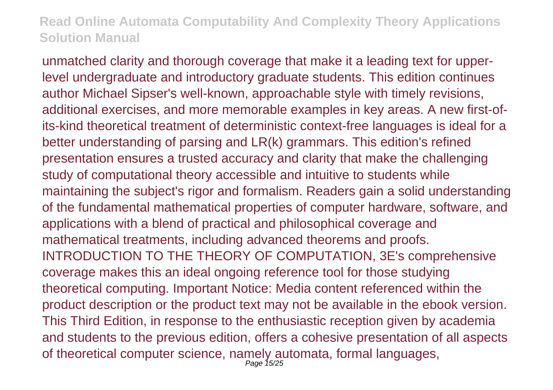unmatched clarity and thorough coverage that make it a leading text for upperlevel undergraduate and introductory graduate students. This edition continues author Michael Sipser's well-known, approachable style with timely revisions, additional exercises, and more memorable examples in key areas. A new first-ofits-kind theoretical treatment of deterministic context-free languages is ideal for a better understanding of parsing and LR(k) grammars. This edition's refined presentation ensures a trusted accuracy and clarity that make the challenging study of computational theory accessible and intuitive to students while maintaining the subject's rigor and formalism. Readers gain a solid understanding of the fundamental mathematical properties of computer hardware, software, and applications with a blend of practical and philosophical coverage and mathematical treatments, including advanced theorems and proofs. INTRODUCTION TO THE THEORY OF COMPUTATION, 3E's comprehensive coverage makes this an ideal ongoing reference tool for those studying theoretical computing. Important Notice: Media content referenced within the product description or the product text may not be available in the ebook version. This Third Edition, in response to the enthusiastic reception given by academia and students to the previous edition, offers a cohesive presentation of all aspects of theoretical computer science, namely automata, formal languages, Page 15/25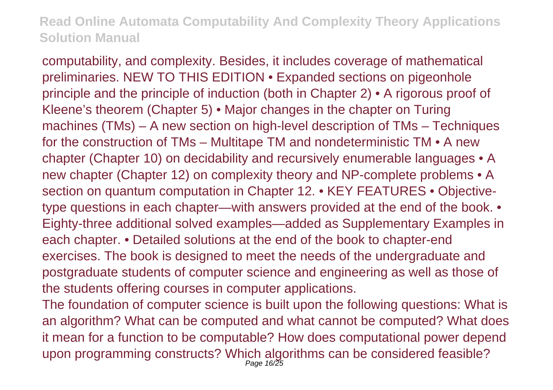computability, and complexity. Besides, it includes coverage of mathematical preliminaries. NEW TO THIS EDITION • Expanded sections on pigeonhole principle and the principle of induction (both in Chapter 2) • A rigorous proof of Kleene's theorem (Chapter 5) • Major changes in the chapter on Turing machines (TMs) – A new section on high-level description of TMs – Techniques for the construction of TMs – Multitape TM and nondeterministic TM • A new chapter (Chapter 10) on decidability and recursively enumerable languages • A new chapter (Chapter 12) on complexity theory and NP-complete problems • A section on quantum computation in Chapter 12. • KEY FEATURES • Objectivetype questions in each chapter—with answers provided at the end of the book. • Eighty-three additional solved examples—added as Supplementary Examples in each chapter. • Detailed solutions at the end of the book to chapter-end exercises. The book is designed to meet the needs of the undergraduate and postgraduate students of computer science and engineering as well as those of the students offering courses in computer applications.

The foundation of computer science is built upon the following questions: What is an algorithm? What can be computed and what cannot be computed? What does it mean for a function to be computable? How does computational power depend upon programming constructs? Which algorithms can be considered feasible? Page 16/25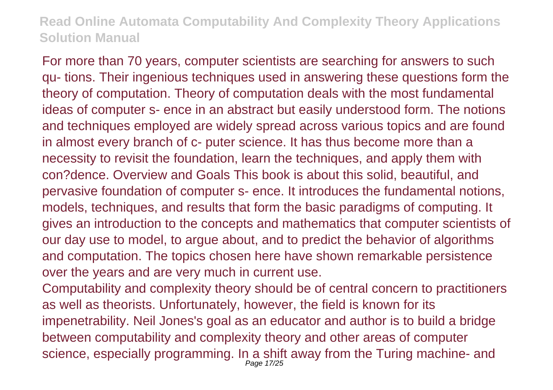For more than 70 years, computer scientists are searching for answers to such qu- tions. Their ingenious techniques used in answering these questions form the theory of computation. Theory of computation deals with the most fundamental ideas of computer s- ence in an abstract but easily understood form. The notions and techniques employed are widely spread across various topics and are found in almost every branch of c- puter science. It has thus become more than a necessity to revisit the foundation, learn the techniques, and apply them with con?dence. Overview and Goals This book is about this solid, beautiful, and pervasive foundation of computer s- ence. It introduces the fundamental notions, models, techniques, and results that form the basic paradigms of computing. It gives an introduction to the concepts and mathematics that computer scientists of our day use to model, to argue about, and to predict the behavior of algorithms and computation. The topics chosen here have shown remarkable persistence over the years and are very much in current use.

Computability and complexity theory should be of central concern to practitioners as well as theorists. Unfortunately, however, the field is known for its impenetrability. Neil Jones's goal as an educator and author is to build a bridge between computability and complexity theory and other areas of computer science, especially programming. In a shift away from the Turing machine- and Page 17/25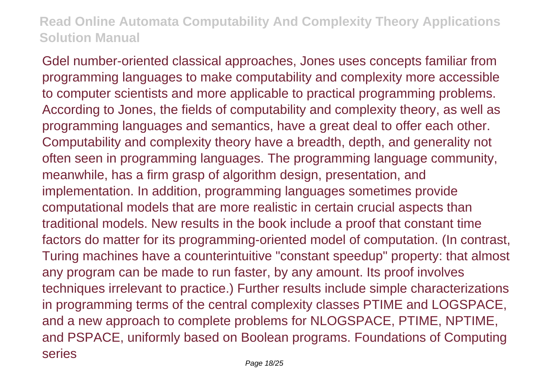Gdel number-oriented classical approaches, Jones uses concepts familiar from programming languages to make computability and complexity more accessible to computer scientists and more applicable to practical programming problems. According to Jones, the fields of computability and complexity theory, as well as programming languages and semantics, have a great deal to offer each other. Computability and complexity theory have a breadth, depth, and generality not often seen in programming languages. The programming language community, meanwhile, has a firm grasp of algorithm design, presentation, and implementation. In addition, programming languages sometimes provide computational models that are more realistic in certain crucial aspects than traditional models. New results in the book include a proof that constant time factors do matter for its programming-oriented model of computation. (In contrast, Turing machines have a counterintuitive "constant speedup" property: that almost any program can be made to run faster, by any amount. Its proof involves techniques irrelevant to practice.) Further results include simple characterizations in programming terms of the central complexity classes PTIME and LOGSPACE, and a new approach to complete problems for NLOGSPACE, PTIME, NPTIME, and PSPACE, uniformly based on Boolean programs. Foundations of Computing series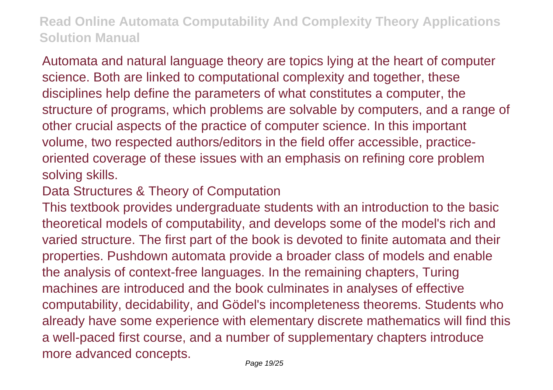Automata and natural language theory are topics lying at the heart of computer science. Both are linked to computational complexity and together, these disciplines help define the parameters of what constitutes a computer, the structure of programs, which problems are solvable by computers, and a range of other crucial aspects of the practice of computer science. In this important volume, two respected authors/editors in the field offer accessible, practiceoriented coverage of these issues with an emphasis on refining core problem solving skills.

### Data Structures & Theory of Computation

This textbook provides undergraduate students with an introduction to the basic theoretical models of computability, and develops some of the model's rich and varied structure. The first part of the book is devoted to finite automata and their properties. Pushdown automata provide a broader class of models and enable the analysis of context-free languages. In the remaining chapters, Turing machines are introduced and the book culminates in analyses of effective computability, decidability, and Gödel's incompleteness theorems. Students who already have some experience with elementary discrete mathematics will find this a well-paced first course, and a number of supplementary chapters introduce more advanced concepts.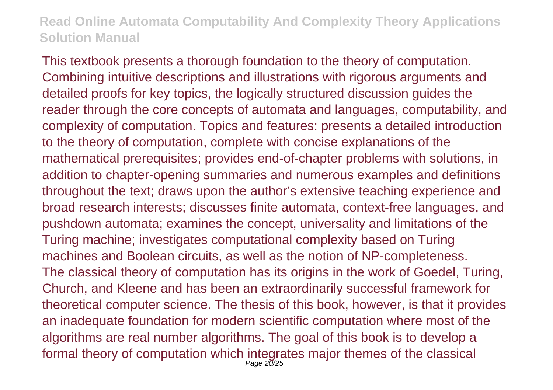This textbook presents a thorough foundation to the theory of computation. Combining intuitive descriptions and illustrations with rigorous arguments and detailed proofs for key topics, the logically structured discussion guides the reader through the core concepts of automata and languages, computability, and complexity of computation. Topics and features: presents a detailed introduction to the theory of computation, complete with concise explanations of the mathematical prerequisites; provides end-of-chapter problems with solutions, in addition to chapter-opening summaries and numerous examples and definitions throughout the text; draws upon the author's extensive teaching experience and broad research interests; discusses finite automata, context-free languages, and pushdown automata; examines the concept, universality and limitations of the Turing machine; investigates computational complexity based on Turing machines and Boolean circuits, as well as the notion of NP-completeness. The classical theory of computation has its origins in the work of Goedel, Turing, Church, and Kleene and has been an extraordinarily successful framework for theoretical computer science. The thesis of this book, however, is that it provides an inadequate foundation for modern scientific computation where most of the algorithms are real number algorithms. The goal of this book is to develop a formal theory of computation which integrates major themes of the classical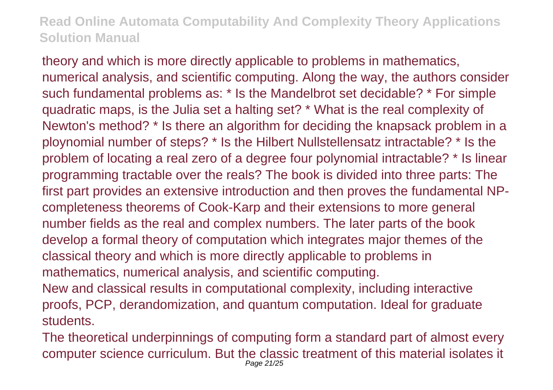theory and which is more directly applicable to problems in mathematics, numerical analysis, and scientific computing. Along the way, the authors consider such fundamental problems as: \* Is the Mandelbrot set decidable? \* For simple quadratic maps, is the Julia set a halting set? \* What is the real complexity of Newton's method? \* Is there an algorithm for deciding the knapsack problem in a ploynomial number of steps? \* Is the Hilbert Nullstellensatz intractable? \* Is the problem of locating a real zero of a degree four polynomial intractable? \* Is linear programming tractable over the reals? The book is divided into three parts: The first part provides an extensive introduction and then proves the fundamental NPcompleteness theorems of Cook-Karp and their extensions to more general number fields as the real and complex numbers. The later parts of the book develop a formal theory of computation which integrates major themes of the classical theory and which is more directly applicable to problems in mathematics, numerical analysis, and scientific computing. New and classical results in computational complexity, including interactive

proofs, PCP, derandomization, and quantum computation. Ideal for graduate students.

The theoretical underpinnings of computing form a standard part of almost every computer science curriculum. But the classic treatment of this material isolates it Page 21/25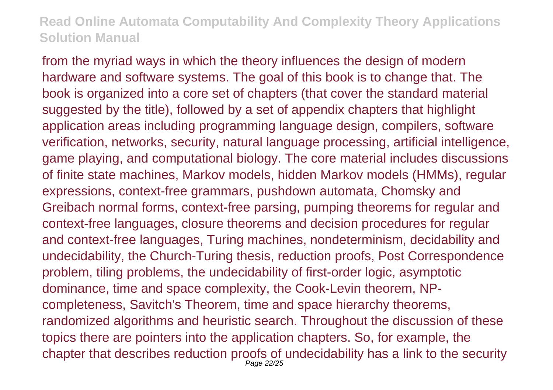from the myriad ways in which the theory influences the design of modern hardware and software systems. The goal of this book is to change that. The book is organized into a core set of chapters (that cover the standard material suggested by the title), followed by a set of appendix chapters that highlight application areas including programming language design, compilers, software verification, networks, security, natural language processing, artificial intelligence, game playing, and computational biology. The core material includes discussions of finite state machines, Markov models, hidden Markov models (HMMs), regular expressions, context-free grammars, pushdown automata, Chomsky and Greibach normal forms, context-free parsing, pumping theorems for regular and context-free languages, closure theorems and decision procedures for regular and context-free languages, Turing machines, nondeterminism, decidability and undecidability, the Church-Turing thesis, reduction proofs, Post Correspondence problem, tiling problems, the undecidability of first-order logic, asymptotic dominance, time and space complexity, the Cook-Levin theorem, NPcompleteness, Savitch's Theorem, time and space hierarchy theorems, randomized algorithms and heuristic search. Throughout the discussion of these topics there are pointers into the application chapters. So, for example, the chapter that describes reduction proofs of undecidability has a link to the security Page 22/25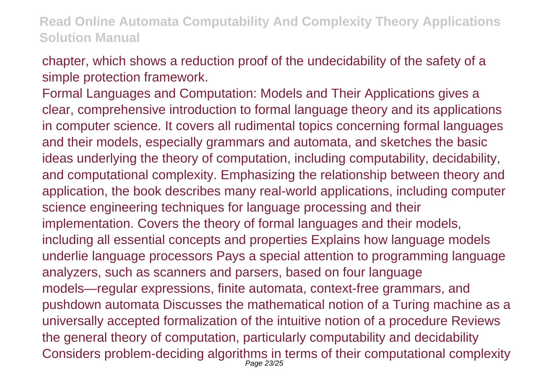chapter, which shows a reduction proof of the undecidability of the safety of a simple protection framework.

Formal Languages and Computation: Models and Their Applications gives a clear, comprehensive introduction to formal language theory and its applications in computer science. It covers all rudimental topics concerning formal languages and their models, especially grammars and automata, and sketches the basic ideas underlying the theory of computation, including computability, decidability, and computational complexity. Emphasizing the relationship between theory and application, the book describes many real-world applications, including computer science engineering techniques for language processing and their implementation. Covers the theory of formal languages and their models, including all essential concepts and properties Explains how language models underlie language processors Pays a special attention to programming language analyzers, such as scanners and parsers, based on four language models—regular expressions, finite automata, context-free grammars, and pushdown automata Discusses the mathematical notion of a Turing machine as a universally accepted formalization of the intuitive notion of a procedure Reviews the general theory of computation, particularly computability and decidability Considers problem-deciding algorithms in terms of their computational complexity Page 23/25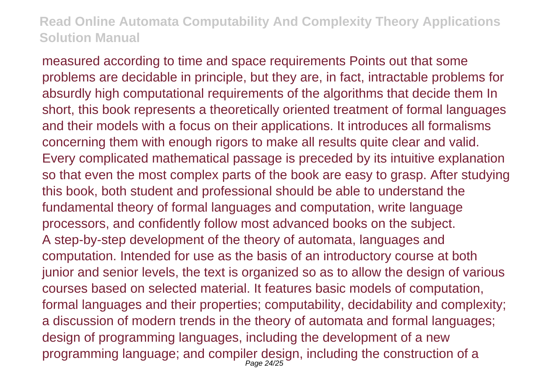measured according to time and space requirements Points out that some problems are decidable in principle, but they are, in fact, intractable problems for absurdly high computational requirements of the algorithms that decide them In short, this book represents a theoretically oriented treatment of formal languages and their models with a focus on their applications. It introduces all formalisms concerning them with enough rigors to make all results quite clear and valid. Every complicated mathematical passage is preceded by its intuitive explanation so that even the most complex parts of the book are easy to grasp. After studying this book, both student and professional should be able to understand the fundamental theory of formal languages and computation, write language processors, and confidently follow most advanced books on the subject. A step-by-step development of the theory of automata, languages and computation. Intended for use as the basis of an introductory course at both junior and senior levels, the text is organized so as to allow the design of various courses based on selected material. It features basic models of computation, formal languages and their properties; computability, decidability and complexity; a discussion of modern trends in the theory of automata and formal languages; design of programming languages, including the development of a new programming language; and compiler design, including the construction of a Page 24/25